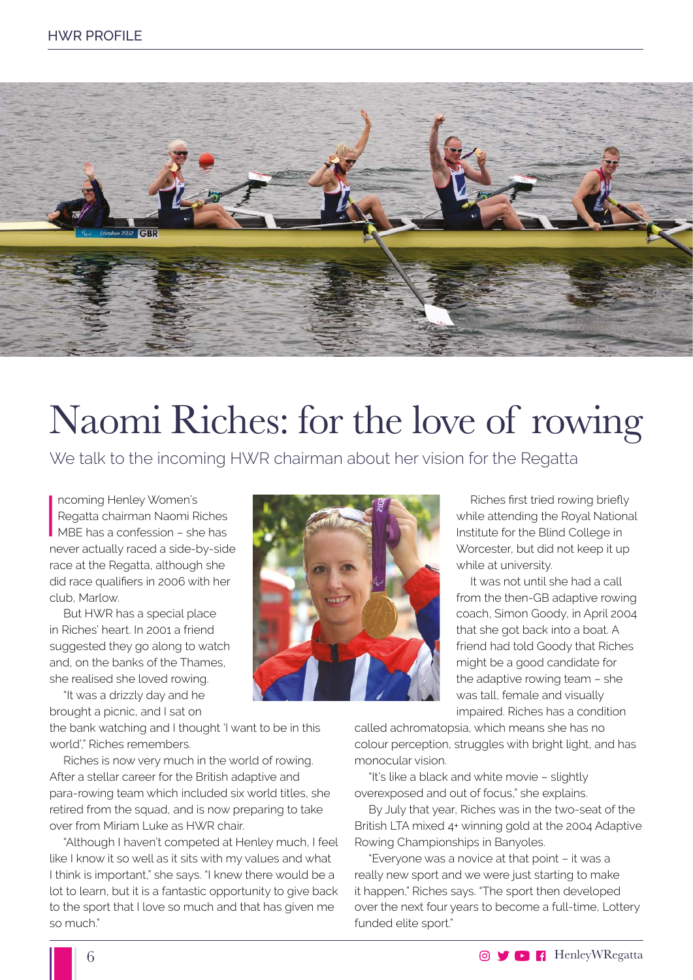

## Naomi Riches: for the love of rowing

We talk to the incoming HWR chairman about her vision for the Regatta

Incoming Henley Women's<br>
Regatta chairman Naomi Riches<br>
MBE has a confession – she has ncoming Henley Women's Regatta chairman Naomi Riches never actually raced a side-by-side race at the Regatta, although she did race qualifiers in 2006 with her club, Marlow.

But HWR has a special place in Riches' heart. In 2001 a friend suggested they go along to watch and, on the banks of the Thames, she realised she loved rowing.

"It was a drizzly day and he brought a picnic, and I sat on

the bank watching and I thought 'I want to be in this world'," Riches remembers.

Riches is now very much in the world of rowing. After a stellar career for the British adaptive and para-rowing team which included six world titles, she retired from the squad, and is now preparing to take over from Miriam Luke as HWR chair.

"Although I haven't competed at Henley much, I feel like I know it so well as it sits with my values and what I think is important," she says. "I knew there would be a lot to learn, but it is a fantastic opportunity to give back to the sport that I love so much and that has given me so much."



Riches first tried rowing briefly while attending the Royal National Institute for the Blind College in Worcester, but did not keep it up while at university.

It was not until she had a call from the then-GB adaptive rowing coach, Simon Goody, in April 2004 that she got back into a boat. A friend had told Goody that Riches might be a good candidate for the adaptive rowing team – she was tall, female and visually impaired. Riches has a condition

called achromatopsia, which means she has no colour perception, struggles with bright light, and has monocular vision.

"It's like a black and white movie – slightly overexposed and out of focus," she explains.

By July that year, Riches was in the two-seat of the British LTA mixed 4+ winning gold at the 2004 Adaptive Rowing Championships in Banyoles.

"Everyone was a novice at that point – it was a really new sport and we were just starting to make it happen," Riches says. "The sport then developed over the next four years to become a full-time, Lottery funded elite sport."